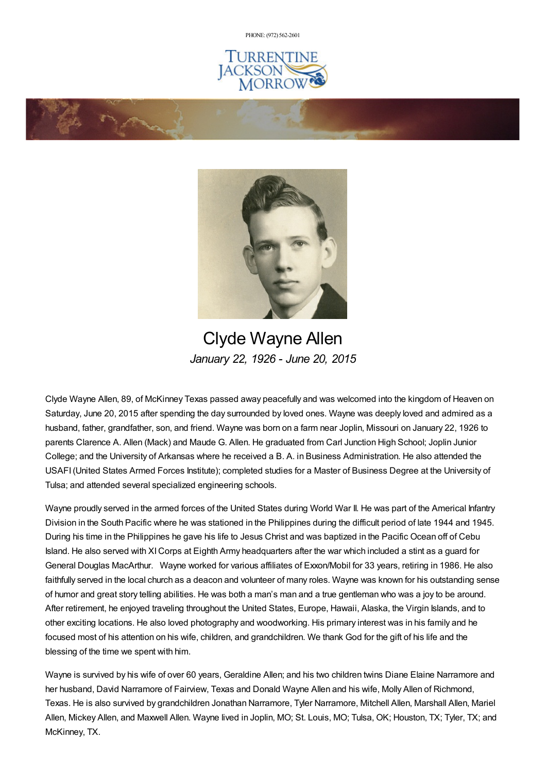PHONE: (972) [562-2601](tel:(972) 562-2601)







Clyde Wayne Allen *January 22, 1926 - June 20, 2015*

Clyde Wayne Allen, 89, of McKinney Texas passed away peacefully and was welcomed into the kingdom of Heaven on Saturday, June 20, 2015 after spending the day surrounded by loved ones. Wayne was deeply loved and admired as a husband, father, grandfather, son, and friend. Wayne was born on a farm near Joplin, Missouri on January 22, 1926 to parents Clarence A. Allen (Mack) and Maude G. Allen. He graduated from Carl Junction High School; Joplin Junior College; and the University of Arkansas where he received a B. A. in Business Administration. He also attended the USAFI(United States Armed Forces Institute); completed studies for a Master of Business Degree at the University of Tulsa; and attended several specialized engineering schools.

Wayne proudly served in the armed forces of the United States during World War II. He was part of the Americal Infantry Division in the South Pacific where he was stationed in the Philippines during the difficult period of late 1944 and 1945. During his time in the Philippines he gave his life to Jesus Christ and was baptized in the Pacific Ocean off of Cebu Island. He also served with XICorps at Eighth Army headquarters after the war which included a stint as a guard for General Douglas MacArthur. Wayne worked for various affiliates of Exxon/Mobil for 33 years, retiring in 1986. He also faithfully served in the local church as a deacon and volunteer of many roles. Wayne was known for his outstanding sense of humor and great story telling abilities. He was both a man's man and a true gentleman who was a joy to be around. After retirement, he enjoyed traveling throughout the United States, Europe, Hawaii, Alaska, the Virgin Islands, and to other exciting locations. He also loved photography and woodworking. His primary interest was in his family and he focused most of his attention on his wife, children, and grandchildren. We thank God for the gift of his life and the blessing of the time we spent with him.

Wayne is survived by his wife of over 60 years, Geraldine Allen; and his two children twins Diane Elaine Narramore and her husband, David Narramore of Fairview, Texas and Donald Wayne Allen and his wife, Molly Allen of Richmond, Texas. He is also survived by grandchildren Jonathan Narramore, Tyler Narramore, Mitchell Allen, Marshall Allen, Mariel Allen, Mickey Allen, and Maxwell Allen. Wayne lived in Joplin, MO; St. Louis, MO; Tulsa, OK; Houston, TX; Tyler, TX; and McKinney, TX.